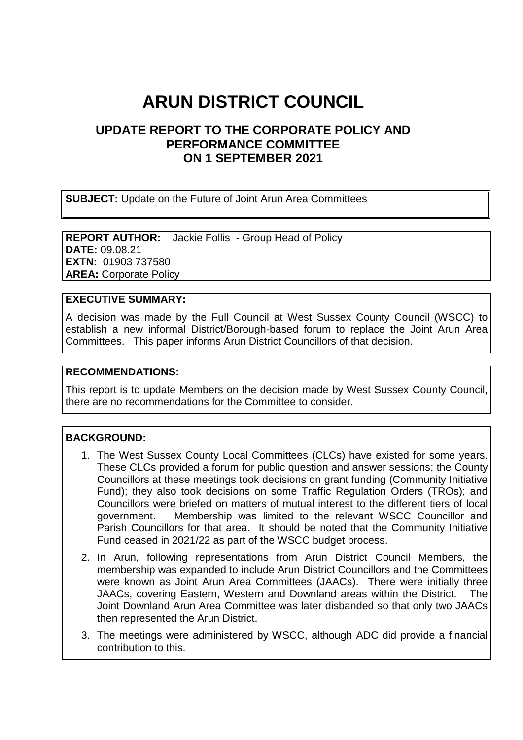# **ARUN DISTRICT COUNCIL**

## **UPDATE REPORT TO THE CORPORATE POLICY AND PERFORMANCE COMMITTEE ON 1 SEPTEMBER 2021**

**SUBJECT:** Update on the Future of Joint Arun Area Committees

**REPORT AUTHOR:** Jackie Follis - Group Head of Policy **DATE:** 09.08.21 **EXTN:** 01903 737580 **AREA:** Corporate Policy

### **EXECUTIVE SUMMARY:**

A decision was made by the Full Council at West Sussex County Council (WSCC) to establish a new informal District/Borough-based forum to replace the Joint Arun Area Committees. This paper informs Arun District Councillors of that decision.

#### **RECOMMENDATIONS:**

This report is to update Members on the decision made by West Sussex County Council, there are no recommendations for the Committee to consider.

#### **BACKGROUND:**

- 1. The West Sussex County Local Committees (CLCs) have existed for some years. These CLCs provided a forum for public question and answer sessions; the County Councillors at these meetings took decisions on grant funding (Community Initiative Fund); they also took decisions on some Traffic Regulation Orders (TROs); and Councillors were briefed on matters of mutual interest to the different tiers of local government. Membership was limited to the relevant WSCC Councillor and Parish Councillors for that area. It should be noted that the Community Initiative Fund ceased in 2021/22 as part of the WSCC budget process.
- 2. In Arun, following representations from Arun District Council Members, the membership was expanded to include Arun District Councillors and the Committees were known as Joint Arun Area Committees (JAACs). There were initially three JAACs, covering Eastern, Western and Downland areas within the District. The Joint Downland Arun Area Committee was later disbanded so that only two JAACs then represented the Arun District.
- 3. The meetings were administered by WSCC, although ADC did provide a financial contribution to this.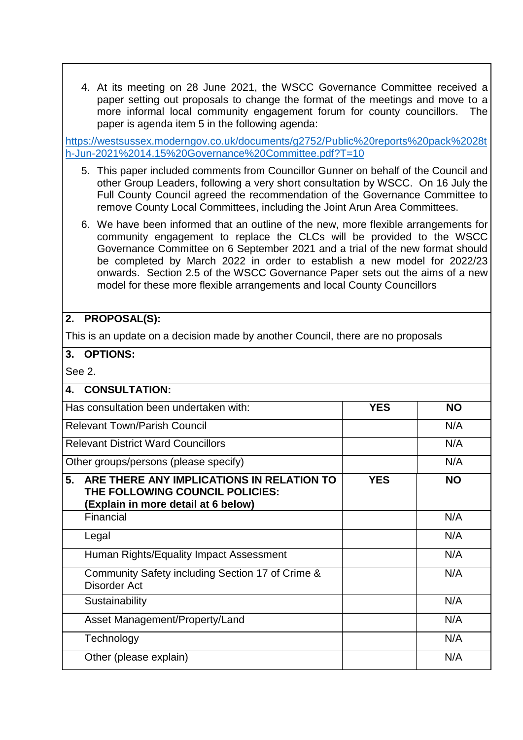4. At its meeting on 28 June 2021, the WSCC Governance Committee received a paper setting out proposals to change the format of the meetings and move to a more informal local community engagement forum for county councillors. The paper is agenda item 5 in the following agenda:

[https://westsussex.moderngov.co.uk/documents/g2752/Public%20reports%20pack%2028t](https://westsussex.moderngov.co.uk/documents/g2752/Public%20reports%20pack%2028th-Jun-2021%2014.15%20Governance%20Committee.pdf?T=10) [h-Jun-2021%2014.15%20Governance%20Committee.pdf?T=10](https://westsussex.moderngov.co.uk/documents/g2752/Public%20reports%20pack%2028th-Jun-2021%2014.15%20Governance%20Committee.pdf?T=10)

- 5. This paper included comments from Councillor Gunner on behalf of the Council and other Group Leaders, following a very short consultation by WSCC. On 16 July the Full County Council agreed the recommendation of the Governance Committee to remove County Local Committees, including the Joint Arun Area Committees.
- 6. We have been informed that an outline of the new, more flexible arrangements for community engagement to replace the CLCs will be provided to the WSCC Governance Committee on 6 September 2021 and a trial of the new format should be completed by March 2022 in order to establish a new model for 2022/23 onwards. Section 2.5 of the WSCC Governance Paper sets out the aims of a new model for these more flexible arrangements and local County Councillors

#### **2. PROPOSAL(S):**

This is an update on a decision made by another Council, there are no proposals

## **3. OPTIONS:**

See 2.

| <b>CONSULTATION:</b><br>4.                                                                                                |            |           |
|---------------------------------------------------------------------------------------------------------------------------|------------|-----------|
| Has consultation been undertaken with:                                                                                    | <b>YES</b> | <b>NO</b> |
| <b>Relevant Town/Parish Council</b>                                                                                       |            | N/A       |
| <b>Relevant District Ward Councillors</b>                                                                                 |            | N/A       |
| Other groups/persons (please specify)                                                                                     |            | N/A       |
| ARE THERE ANY IMPLICATIONS IN RELATION TO<br>5.<br>THE FOLLOWING COUNCIL POLICIES:<br>(Explain in more detail at 6 below) | <b>YES</b> | <b>NO</b> |
| Financial                                                                                                                 |            | N/A       |
| Legal                                                                                                                     |            | N/A       |
| Human Rights/Equality Impact Assessment                                                                                   |            | N/A       |
| Community Safety including Section 17 of Crime &<br>Disorder Act                                                          |            | N/A       |
| Sustainability                                                                                                            |            | N/A       |
| Asset Management/Property/Land                                                                                            |            | N/A       |
| Technology                                                                                                                |            | N/A       |
| Other (please explain)                                                                                                    |            | N/A       |